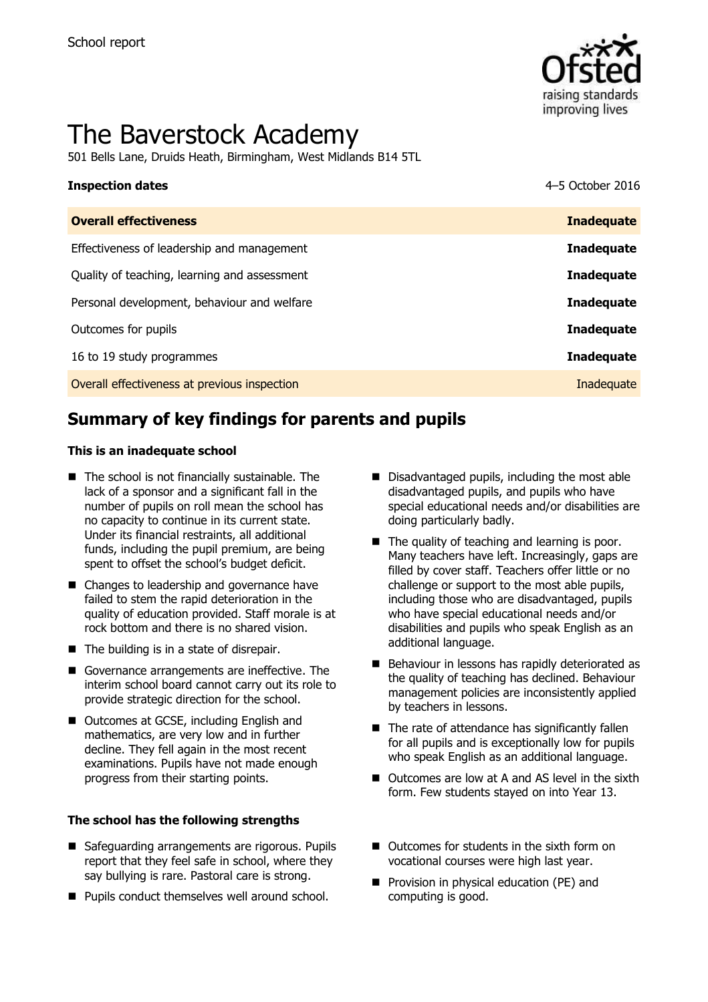

# The Baverstock Academy

501 Bells Lane, Druids Heath, Birmingham, West Midlands B14 5TL

# **Inspection dates** 4–5 October 2016

| <b>Overall effectiveness</b>                 | <b>Inadequate</b> |
|----------------------------------------------|-------------------|
| Effectiveness of leadership and management   | <b>Inadequate</b> |
| Quality of teaching, learning and assessment | <b>Inadequate</b> |
| Personal development, behaviour and welfare  | <b>Inadequate</b> |
| Outcomes for pupils                          | <b>Inadequate</b> |
| 16 to 19 study programmes                    | <b>Inadequate</b> |
| Overall effectiveness at previous inspection | Inadequate        |
|                                              |                   |

# **Summary of key findings for parents and pupils**

### **This is an inadequate school**

- $\blacksquare$  The school is not financially sustainable. The lack of a sponsor and a significant fall in the number of pupils on roll mean the school has no capacity to continue in its current state. Under its financial restraints, all additional funds, including the pupil premium, are being spent to offset the school's budget deficit.
- Changes to leadership and governance have failed to stem the rapid deterioration in the quality of education provided. Staff morale is at rock bottom and there is no shared vision.
- The building is in a state of disrepair.
- Governance arrangements are ineffective. The interim school board cannot carry out its role to provide strategic direction for the school.
- Outcomes at GCSE, including English and mathematics, are very low and in further decline. They fell again in the most recent examinations. Pupils have not made enough progress from their starting points.

### **The school has the following strengths**

- Safeguarding arrangements are rigorous. Pupils report that they feel safe in school, where they say bullying is rare. Pastoral care is strong.
- **Pupils conduct themselves well around school.**
- Disadvantaged pupils, including the most able disadvantaged pupils, and pupils who have special educational needs and/or disabilities are doing particularly badly.
- $\blacksquare$  The quality of teaching and learning is poor. Many teachers have left. Increasingly, gaps are filled by cover staff. Teachers offer little or no challenge or support to the most able pupils, including those who are disadvantaged, pupils who have special educational needs and/or disabilities and pupils who speak English as an additional language.
- Behaviour in lessons has rapidly deteriorated as the quality of teaching has declined. Behaviour management policies are inconsistently applied by teachers in lessons.
- $\blacksquare$  The rate of attendance has significantly fallen for all pupils and is exceptionally low for pupils who speak English as an additional language.
- Outcomes are low at A and AS level in the sixth form. Few students stayed on into Year 13.
- Outcomes for students in the sixth form on vocational courses were high last year.
- **Provision in physical education (PE) and** computing is good.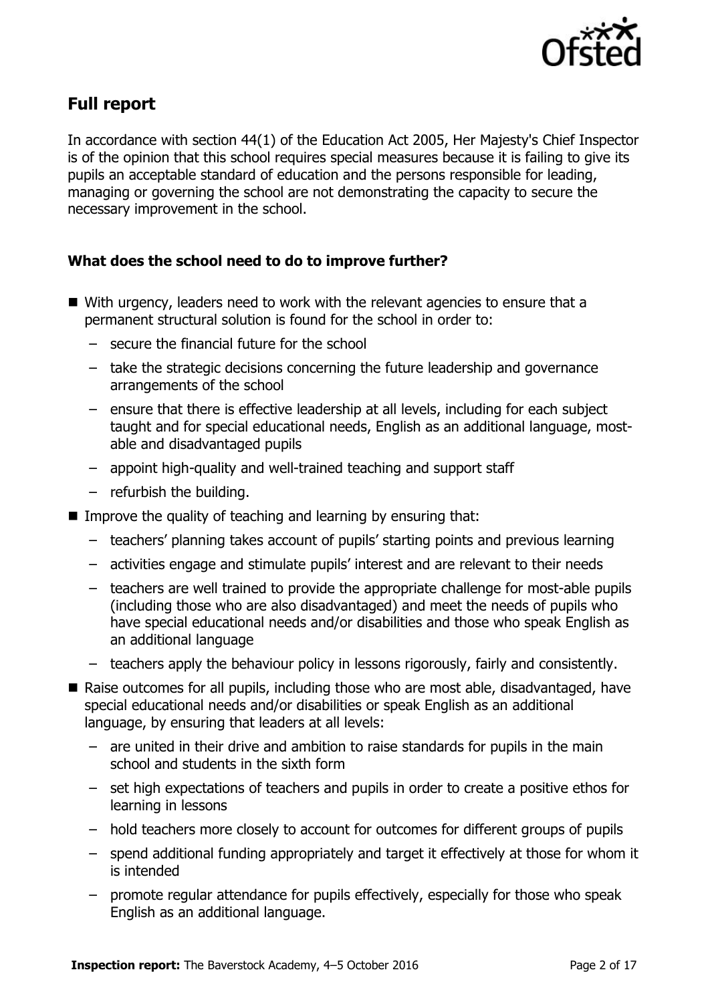

## **Full report**

In accordance with section 44(1) of the Education Act 2005, Her Majesty's Chief Inspector is of the opinion that this school requires special measures because it is failing to give its pupils an acceptable standard of education and the persons responsible for leading, managing or governing the school are not demonstrating the capacity to secure the necessary improvement in the school.

### **What does the school need to do to improve further?**

- With urgency, leaders need to work with the relevant agencies to ensure that a permanent structural solution is found for the school in order to:
	- secure the financial future for the school
	- take the strategic decisions concerning the future leadership and governance arrangements of the school
	- ensure that there is effective leadership at all levels, including for each subject taught and for special educational needs, English as an additional language, mostable and disadvantaged pupils
	- appoint high-quality and well-trained teaching and support staff
	- refurbish the building.
- Improve the quality of teaching and learning by ensuring that:
	- teachers' planning takes account of pupils' starting points and previous learning
	- activities engage and stimulate pupils' interest and are relevant to their needs
	- teachers are well trained to provide the appropriate challenge for most-able pupils (including those who are also disadvantaged) and meet the needs of pupils who have special educational needs and/or disabilities and those who speak English as an additional language
	- teachers apply the behaviour policy in lessons rigorously, fairly and consistently.
- Raise outcomes for all pupils, including those who are most able, disadvantaged, have special educational needs and/or disabilities or speak English as an additional language, by ensuring that leaders at all levels:
	- are united in their drive and ambition to raise standards for pupils in the main school and students in the sixth form
	- set high expectations of teachers and pupils in order to create a positive ethos for learning in lessons
	- hold teachers more closely to account for outcomes for different groups of pupils
	- spend additional funding appropriately and target it effectively at those for whom it is intended
	- promote regular attendance for pupils effectively, especially for those who speak English as an additional language.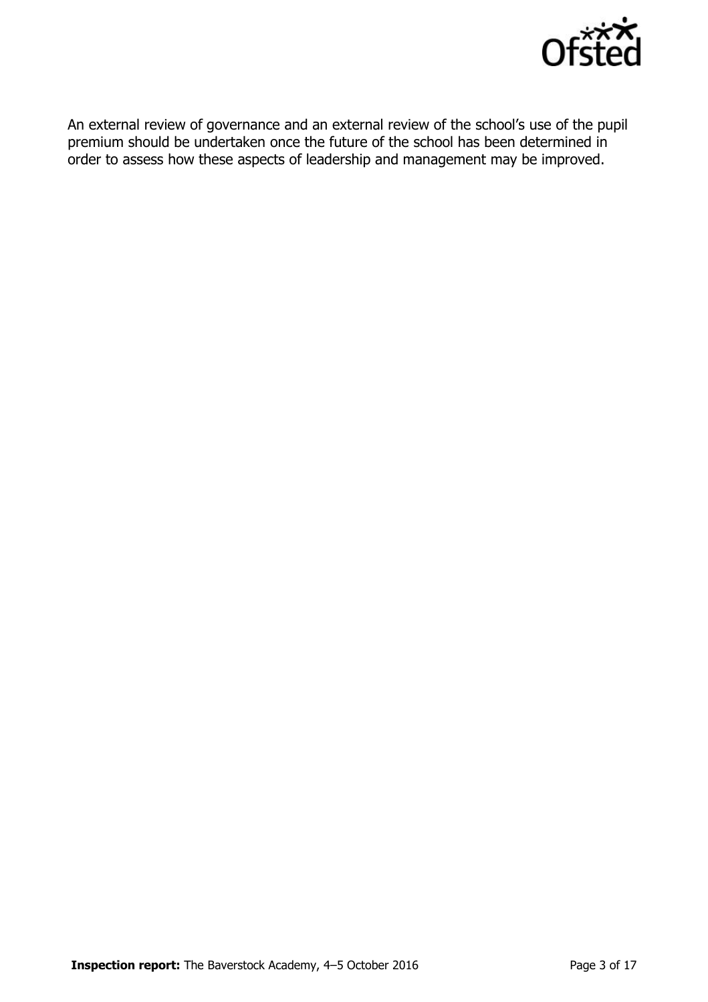

An external review of governance and an external review of the school's use of the pupil premium should be undertaken once the future of the school has been determined in order to assess how these aspects of leadership and management may be improved.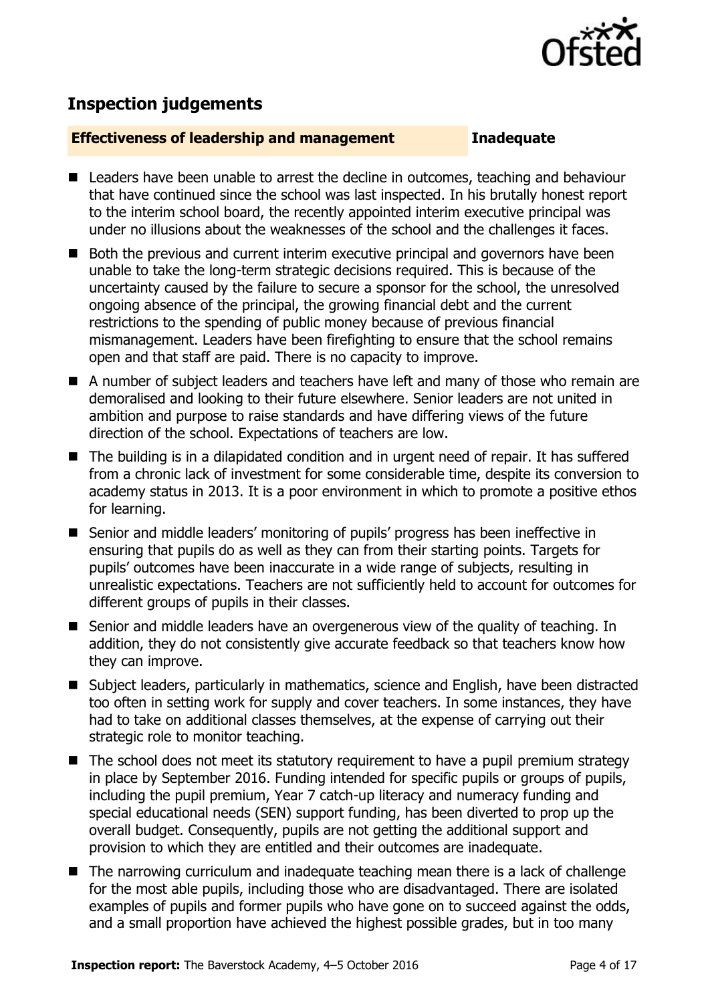

# **Inspection judgements**

### **Effectiveness of leadership and management Inadequate**

- Leaders have been unable to arrest the decline in outcomes, teaching and behaviour that have continued since the school was last inspected. In his brutally honest report to the interim school board, the recently appointed interim executive principal was under no illusions about the weaknesses of the school and the challenges it faces.
- Both the previous and current interim executive principal and governors have been unable to take the long-term strategic decisions required. This is because of the uncertainty caused by the failure to secure a sponsor for the school, the unresolved ongoing absence of the principal, the growing financial debt and the current restrictions to the spending of public money because of previous financial mismanagement. Leaders have been firefighting to ensure that the school remains open and that staff are paid. There is no capacity to improve.
- A number of subject leaders and teachers have left and many of those who remain are demoralised and looking to their future elsewhere. Senior leaders are not united in ambition and purpose to raise standards and have differing views of the future direction of the school. Expectations of teachers are low.
- The building is in a dilapidated condition and in urgent need of repair. It has suffered from a chronic lack of investment for some considerable time, despite its conversion to academy status in 2013. It is a poor environment in which to promote a positive ethos for learning.
- Senior and middle leaders' monitoring of pupils' progress has been ineffective in ensuring that pupils do as well as they can from their starting points. Targets for pupils' outcomes have been inaccurate in a wide range of subjects, resulting in unrealistic expectations. Teachers are not sufficiently held to account for outcomes for different groups of pupils in their classes.
- Senior and middle leaders have an overgenerous view of the quality of teaching. In addition, they do not consistently give accurate feedback so that teachers know how they can improve.
- Subject leaders, particularly in mathematics, science and English, have been distracted too often in setting work for supply and cover teachers. In some instances, they have had to take on additional classes themselves, at the expense of carrying out their strategic role to monitor teaching.
- The school does not meet its statutory requirement to have a pupil premium strategy in place by September 2016. Funding intended for specific pupils or groups of pupils, including the pupil premium, Year 7 catch-up literacy and numeracy funding and special educational needs (SEN) support funding, has been diverted to prop up the overall budget. Consequently, pupils are not getting the additional support and provision to which they are entitled and their outcomes are inadequate.
- The narrowing curriculum and inadequate teaching mean there is a lack of challenge for the most able pupils, including those who are disadvantaged. There are isolated examples of pupils and former pupils who have gone on to succeed against the odds, and a small proportion have achieved the highest possible grades, but in too many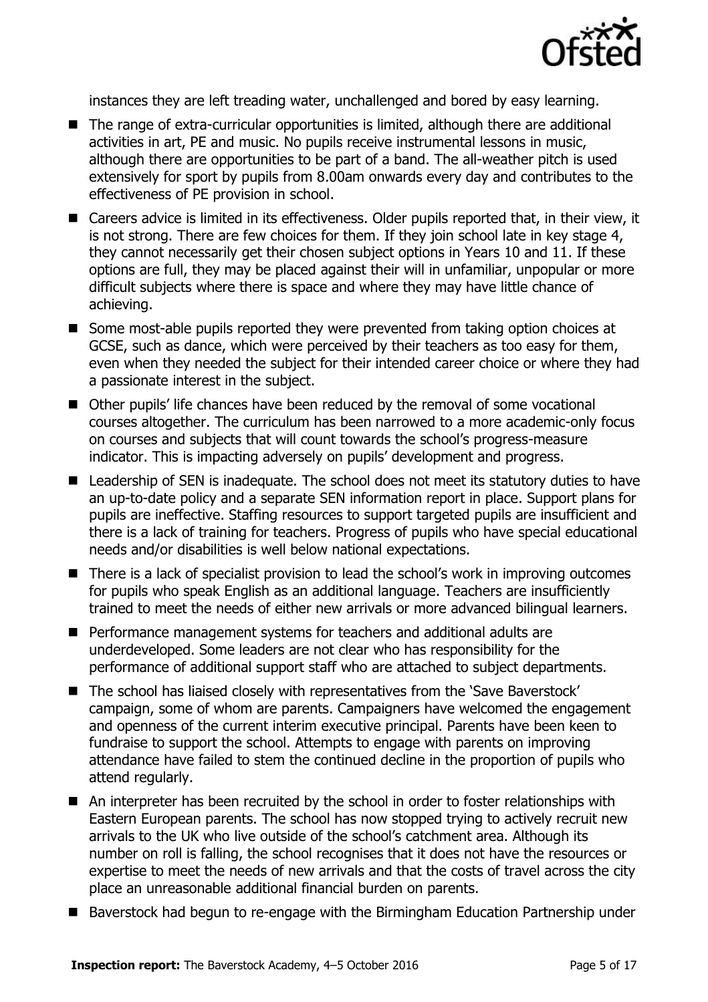

instances they are left treading water, unchallenged and bored by easy learning.

- The range of extra-curricular opportunities is limited, although there are additional activities in art, PE and music. No pupils receive instrumental lessons in music, although there are opportunities to be part of a band. The all-weather pitch is used extensively for sport by pupils from 8.00am onwards every day and contributes to the effectiveness of PE provision in school.
- Careers advice is limited in its effectiveness. Older pupils reported that, in their view, it is not strong. There are few choices for them. If they join school late in key stage 4, they cannot necessarily get their chosen subject options in Years 10 and 11. If these options are full, they may be placed against their will in unfamiliar, unpopular or more difficult subjects where there is space and where they may have little chance of achieving.
- Some most-able pupils reported they were prevented from taking option choices at GCSE, such as dance, which were perceived by their teachers as too easy for them, even when they needed the subject for their intended career choice or where they had a passionate interest in the subject.
- Other pupils' life chances have been reduced by the removal of some vocational courses altogether. The curriculum has been narrowed to a more academic-only focus on courses and subjects that will count towards the school's progress-measure indicator. This is impacting adversely on pupils' development and progress.
- Leadership of SEN is inadequate. The school does not meet its statutory duties to have an up-to-date policy and a separate SEN information report in place. Support plans for pupils are ineffective. Staffing resources to support targeted pupils are insufficient and there is a lack of training for teachers. Progress of pupils who have special educational needs and/or disabilities is well below national expectations.
- There is a lack of specialist provision to lead the school's work in improving outcomes for pupils who speak English as an additional language. Teachers are insufficiently trained to meet the needs of either new arrivals or more advanced bilingual learners.
- **Performance management systems for teachers and additional adults are** underdeveloped. Some leaders are not clear who has responsibility for the performance of additional support staff who are attached to subject departments.
- The school has liaised closely with representatives from the 'Save Baverstock' campaign, some of whom are parents. Campaigners have welcomed the engagement and openness of the current interim executive principal. Parents have been keen to fundraise to support the school. Attempts to engage with parents on improving attendance have failed to stem the continued decline in the proportion of pupils who attend regularly.
- An interpreter has been recruited by the school in order to foster relationships with Eastern European parents. The school has now stopped trying to actively recruit new arrivals to the UK who live outside of the school's catchment area. Although its number on roll is falling, the school recognises that it does not have the resources or expertise to meet the needs of new arrivals and that the costs of travel across the city place an unreasonable additional financial burden on parents.
- Baverstock had begun to re-engage with the Birmingham Education Partnership under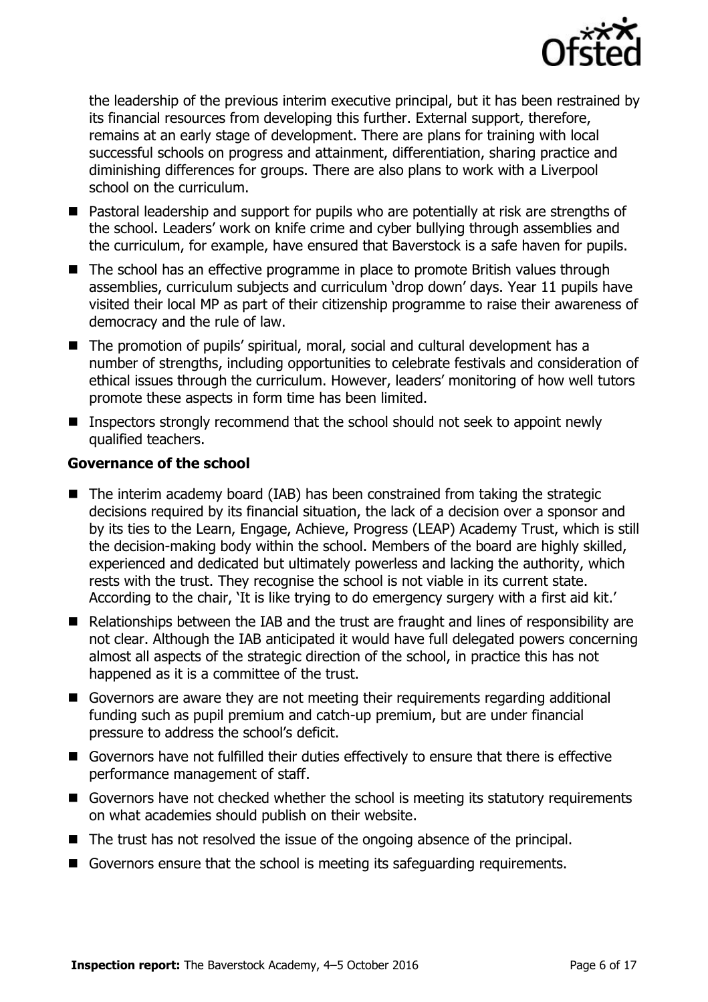

the leadership of the previous interim executive principal, but it has been restrained by its financial resources from developing this further. External support, therefore, remains at an early stage of development. There are plans for training with local successful schools on progress and attainment, differentiation, sharing practice and diminishing differences for groups. There are also plans to work with a Liverpool school on the curriculum.

- Pastoral leadership and support for pupils who are potentially at risk are strengths of the school. Leaders' work on knife crime and cyber bullying through assemblies and the curriculum, for example, have ensured that Baverstock is a safe haven for pupils.
- The school has an effective programme in place to promote British values through assemblies, curriculum subjects and curriculum 'drop down' days. Year 11 pupils have visited their local MP as part of their citizenship programme to raise their awareness of democracy and the rule of law.
- The promotion of pupils' spiritual, moral, social and cultural development has a number of strengths, including opportunities to celebrate festivals and consideration of ethical issues through the curriculum. However, leaders' monitoring of how well tutors promote these aspects in form time has been limited.
- Inspectors strongly recommend that the school should not seek to appoint newly qualified teachers.

### **Governance of the school**

- The interim academy board (IAB) has been constrained from taking the strategic decisions required by its financial situation, the lack of a decision over a sponsor and by its ties to the Learn, Engage, Achieve, Progress (LEAP) Academy Trust, which is still the decision-making body within the school. Members of the board are highly skilled, experienced and dedicated but ultimately powerless and lacking the authority, which rests with the trust. They recognise the school is not viable in its current state. According to the chair, 'It is like trying to do emergency surgery with a first aid kit.'
- Relationships between the IAB and the trust are fraught and lines of responsibility are not clear. Although the IAB anticipated it would have full delegated powers concerning almost all aspects of the strategic direction of the school, in practice this has not happened as it is a committee of the trust.
- Governors are aware they are not meeting their requirements regarding additional funding such as pupil premium and catch-up premium, but are under financial pressure to address the school's deficit.
- Governors have not fulfilled their duties effectively to ensure that there is effective performance management of staff.
- Governors have not checked whether the school is meeting its statutory requirements on what academies should publish on their website.
- The trust has not resolved the issue of the ongoing absence of the principal.
- Governors ensure that the school is meeting its safeguarding requirements.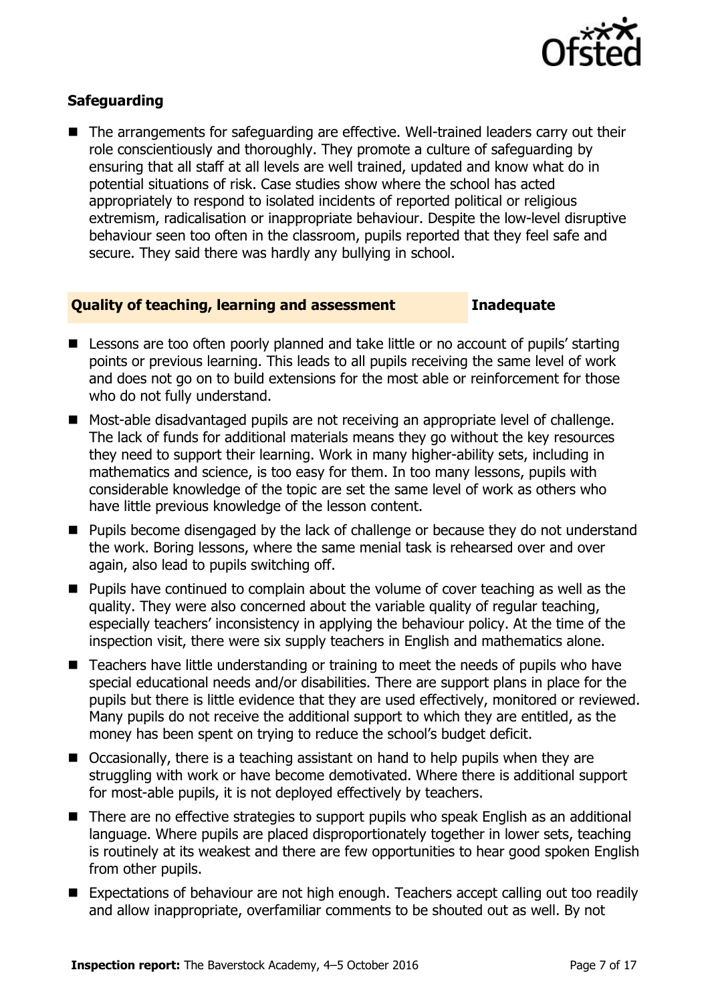

### **Safeguarding**

■ The arrangements for safeguarding are effective. Well-trained leaders carry out their role conscientiously and thoroughly. They promote a culture of safeguarding by ensuring that all staff at all levels are well trained, updated and know what do in potential situations of risk. Case studies show where the school has acted appropriately to respond to isolated incidents of reported political or religious extremism, radicalisation or inappropriate behaviour. Despite the low-level disruptive behaviour seen too often in the classroom, pupils reported that they feel safe and secure. They said there was hardly any bullying in school.

### **Quality of teaching, learning and assessment Inadequate**

- Lessons are too often poorly planned and take little or no account of pupils' starting points or previous learning. This leads to all pupils receiving the same level of work and does not go on to build extensions for the most able or reinforcement for those who do not fully understand.
- Most-able disadvantaged pupils are not receiving an appropriate level of challenge. The lack of funds for additional materials means they go without the key resources they need to support their learning. Work in many higher-ability sets, including in mathematics and science, is too easy for them. In too many lessons, pupils with considerable knowledge of the topic are set the same level of work as others who have little previous knowledge of the lesson content.
- Pupils become disengaged by the lack of challenge or because they do not understand the work. Boring lessons, where the same menial task is rehearsed over and over again, also lead to pupils switching off.
- **Pupils have continued to complain about the volume of cover teaching as well as the** quality. They were also concerned about the variable quality of regular teaching, especially teachers' inconsistency in applying the behaviour policy. At the time of the inspection visit, there were six supply teachers in English and mathematics alone.
- Teachers have little understanding or training to meet the needs of pupils who have special educational needs and/or disabilities. There are support plans in place for the pupils but there is little evidence that they are used effectively, monitored or reviewed. Many pupils do not receive the additional support to which they are entitled, as the money has been spent on trying to reduce the school's budget deficit.
- Occasionally, there is a teaching assistant on hand to help pupils when they are struggling with work or have become demotivated. Where there is additional support for most-able pupils, it is not deployed effectively by teachers.
- There are no effective strategies to support pupils who speak English as an additional language. Where pupils are placed disproportionately together in lower sets, teaching is routinely at its weakest and there are few opportunities to hear good spoken English from other pupils.
- Expectations of behaviour are not high enough. Teachers accept calling out too readily and allow inappropriate, overfamiliar comments to be shouted out as well. By not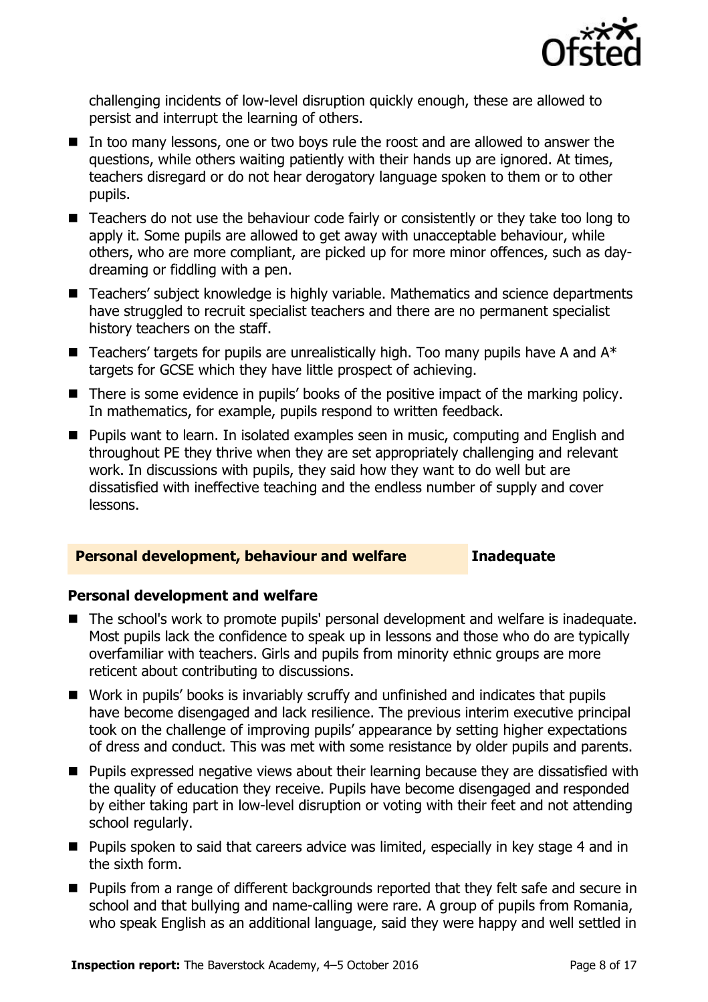

challenging incidents of low-level disruption quickly enough, these are allowed to persist and interrupt the learning of others.

- In too many lessons, one or two boys rule the roost and are allowed to answer the questions, while others waiting patiently with their hands up are ignored. At times, teachers disregard or do not hear derogatory language spoken to them or to other pupils.
- Teachers do not use the behaviour code fairly or consistently or they take too long to apply it. Some pupils are allowed to get away with unacceptable behaviour, while others, who are more compliant, are picked up for more minor offences, such as daydreaming or fiddling with a pen.
- Teachers' subject knowledge is highly variable. Mathematics and science departments have struggled to recruit specialist teachers and there are no permanent specialist history teachers on the staff.
- **Teachers' targets for pupils are unrealistically high. Too many pupils have A and**  $A^*$ targets for GCSE which they have little prospect of achieving.
- There is some evidence in pupils' books of the positive impact of the marking policy. In mathematics, for example, pupils respond to written feedback.
- **Pupils want to learn. In isolated examples seen in music, computing and English and** throughout PE they thrive when they are set appropriately challenging and relevant work. In discussions with pupils, they said how they want to do well but are dissatisfied with ineffective teaching and the endless number of supply and cover lessons.

### **Personal development, behaviour and welfare Inadequate**

### **Personal development and welfare**

- The school's work to promote pupils' personal development and welfare is inadequate. Most pupils lack the confidence to speak up in lessons and those who do are typically overfamiliar with teachers. Girls and pupils from minority ethnic groups are more reticent about contributing to discussions.
- Work in pupils' books is invariably scruffy and unfinished and indicates that pupils have become disengaged and lack resilience. The previous interim executive principal took on the challenge of improving pupils' appearance by setting higher expectations of dress and conduct. This was met with some resistance by older pupils and parents.
- **Pupils expressed negative views about their learning because they are dissatisfied with** the quality of education they receive. Pupils have become disengaged and responded by either taking part in low-level disruption or voting with their feet and not attending school regularly.
- **Pupils spoken to said that careers advice was limited, especially in key stage 4 and in** the sixth form.
- Pupils from a range of different backgrounds reported that they felt safe and secure in school and that bullying and name-calling were rare. A group of pupils from Romania, who speak English as an additional language, said they were happy and well settled in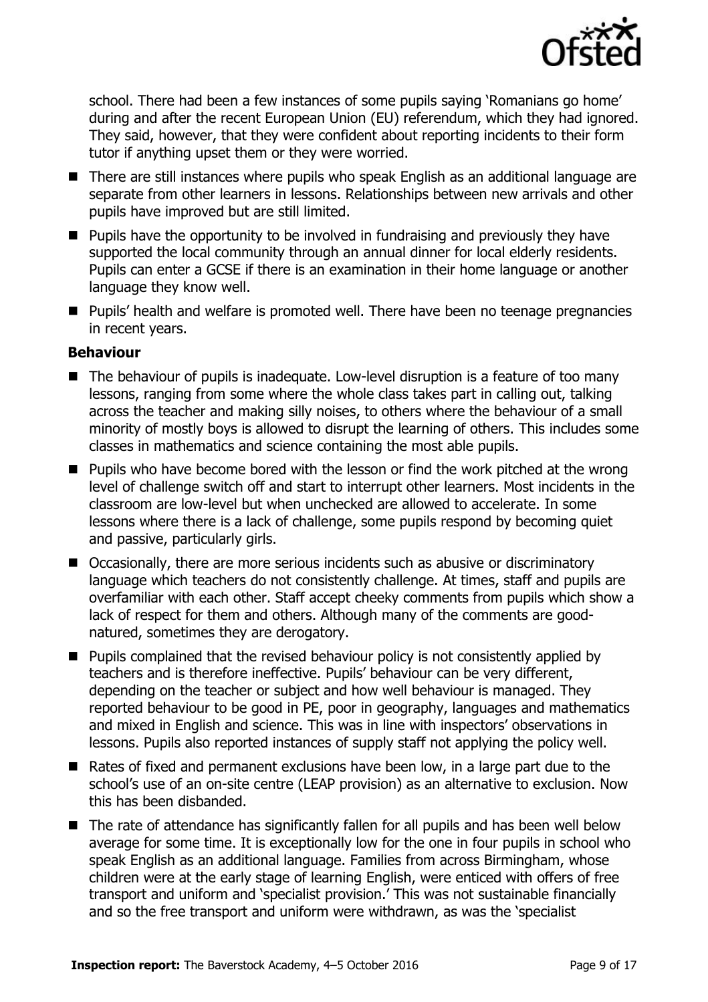

school. There had been a few instances of some pupils saying 'Romanians go home' during and after the recent European Union (EU) referendum, which they had ignored. They said, however, that they were confident about reporting incidents to their form tutor if anything upset them or they were worried.

- There are still instances where pupils who speak English as an additional language are separate from other learners in lessons. Relationships between new arrivals and other pupils have improved but are still limited.
- $\blacksquare$  Pupils have the opportunity to be involved in fundraising and previously they have supported the local community through an annual dinner for local elderly residents. Pupils can enter a GCSE if there is an examination in their home language or another language they know well.
- Pupils' health and welfare is promoted well. There have been no teenage pregnancies in recent years.

### **Behaviour**

- The behaviour of pupils is inadequate. Low-level disruption is a feature of too many lessons, ranging from some where the whole class takes part in calling out, talking across the teacher and making silly noises, to others where the behaviour of a small minority of mostly boys is allowed to disrupt the learning of others. This includes some classes in mathematics and science containing the most able pupils.
- **Pupils who have become bored with the lesson or find the work pitched at the wrong** level of challenge switch off and start to interrupt other learners. Most incidents in the classroom are low-level but when unchecked are allowed to accelerate. In some lessons where there is a lack of challenge, some pupils respond by becoming quiet and passive, particularly girls.
- Occasionally, there are more serious incidents such as abusive or discriminatory language which teachers do not consistently challenge. At times, staff and pupils are overfamiliar with each other. Staff accept cheeky comments from pupils which show a lack of respect for them and others. Although many of the comments are goodnatured, sometimes they are derogatory.
- $\blacksquare$  Pupils complained that the revised behaviour policy is not consistently applied by teachers and is therefore ineffective. Pupils' behaviour can be very different, depending on the teacher or subject and how well behaviour is managed. They reported behaviour to be good in PE, poor in geography, languages and mathematics and mixed in English and science. This was in line with inspectors' observations in lessons. Pupils also reported instances of supply staff not applying the policy well.
- Rates of fixed and permanent exclusions have been low, in a large part due to the school's use of an on-site centre (LEAP provision) as an alternative to exclusion. Now this has been disbanded.
- The rate of attendance has significantly fallen for all pupils and has been well below average for some time. It is exceptionally low for the one in four pupils in school who speak English as an additional language. Families from across Birmingham, whose children were at the early stage of learning English, were enticed with offers of free transport and uniform and 'specialist provision.' This was not sustainable financially and so the free transport and uniform were withdrawn, as was the 'specialist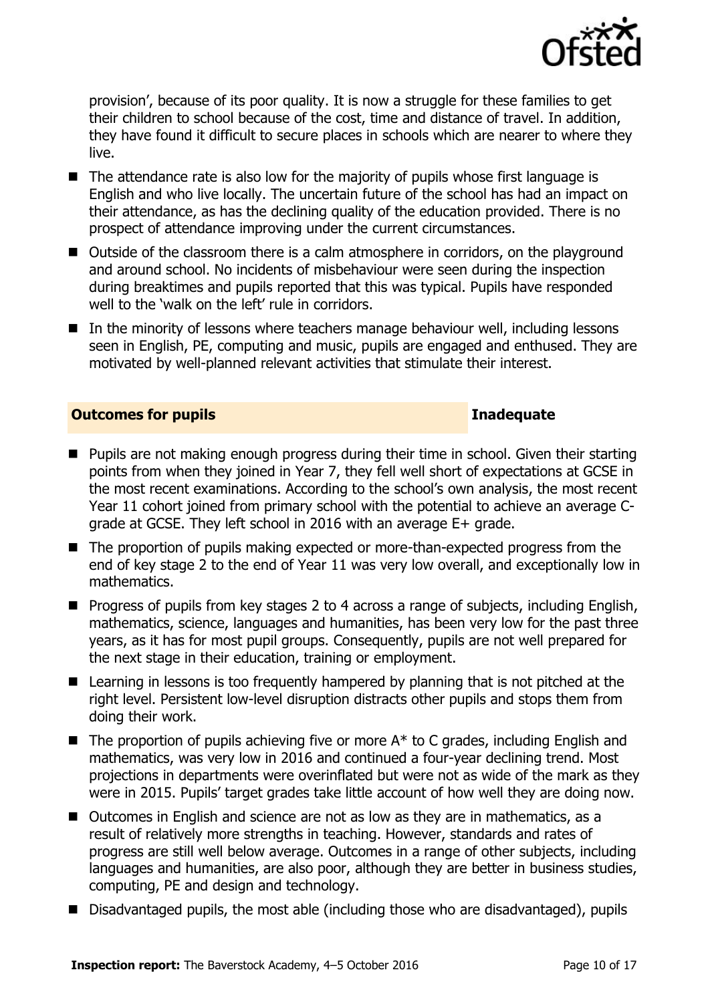

provision', because of its poor quality. It is now a struggle for these families to get their children to school because of the cost, time and distance of travel. In addition, they have found it difficult to secure places in schools which are nearer to where they live.

- $\blacksquare$  The attendance rate is also low for the majority of pupils whose first language is English and who live locally. The uncertain future of the school has had an impact on their attendance, as has the declining quality of the education provided. There is no prospect of attendance improving under the current circumstances.
- Outside of the classroom there is a calm atmosphere in corridors, on the playground and around school. No incidents of misbehaviour were seen during the inspection during breaktimes and pupils reported that this was typical. Pupils have responded well to the 'walk on the left' rule in corridors.
- In the minority of lessons where teachers manage behaviour well, including lessons seen in English, PE, computing and music, pupils are engaged and enthused. They are motivated by well-planned relevant activities that stimulate their interest.

### **Outcomes for pupils Inadequate**

- **Pupils are not making enough progress during their time in school. Given their starting** points from when they joined in Year 7, they fell well short of expectations at GCSE in the most recent examinations. According to the school's own analysis, the most recent Year 11 cohort joined from primary school with the potential to achieve an average Cgrade at GCSE. They left school in 2016 with an average E+ grade.
- The proportion of pupils making expected or more-than-expected progress from the end of key stage 2 to the end of Year 11 was very low overall, and exceptionally low in mathematics.
- **Progress of pupils from key stages 2 to 4 across a range of subjects, including English,** mathematics, science, languages and humanities, has been very low for the past three years, as it has for most pupil groups. Consequently, pupils are not well prepared for the next stage in their education, training or employment.
- Learning in lessons is too frequently hampered by planning that is not pitched at the right level. Persistent low-level disruption distracts other pupils and stops them from doing their work.
- $\blacksquare$  The proportion of pupils achieving five or more  $A^*$  to C grades, including English and mathematics, was very low in 2016 and continued a four-year declining trend. Most projections in departments were overinflated but were not as wide of the mark as they were in 2015. Pupils' target grades take little account of how well they are doing now.
- Outcomes in English and science are not as low as they are in mathematics, as a result of relatively more strengths in teaching. However, standards and rates of progress are still well below average. Outcomes in a range of other subjects, including languages and humanities, are also poor, although they are better in business studies, computing, PE and design and technology.
- Disadvantaged pupils, the most able (including those who are disadvantaged), pupils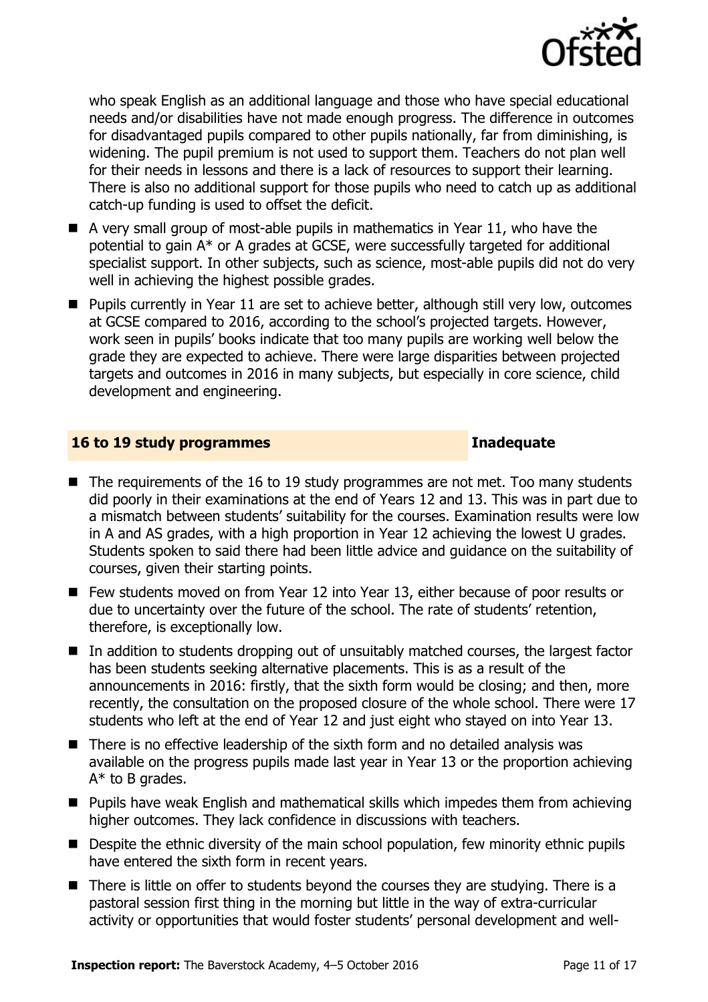

who speak English as an additional language and those who have special educational needs and/or disabilities have not made enough progress. The difference in outcomes for disadvantaged pupils compared to other pupils nationally, far from diminishing, is widening. The pupil premium is not used to support them. Teachers do not plan well for their needs in lessons and there is a lack of resources to support their learning. There is also no additional support for those pupils who need to catch up as additional catch-up funding is used to offset the deficit.

- $\blacksquare$  A very small group of most-able pupils in mathematics in Year 11, who have the potential to gain A\* or A grades at GCSE, were successfully targeted for additional specialist support. In other subjects, such as science, most-able pupils did not do very well in achieving the highest possible grades.
- **Pupils currently in Year 11 are set to achieve better, although still very low, outcomes** at GCSE compared to 2016, according to the school's projected targets. However, work seen in pupils' books indicate that too many pupils are working well below the grade they are expected to achieve. There were large disparities between projected targets and outcomes in 2016 in many subjects, but especially in core science, child development and engineering.

### **16 to 19 study programmes Inadequate**

- $\blacksquare$  The requirements of the 16 to 19 study programmes are not met. Too many students did poorly in their examinations at the end of Years 12 and 13. This was in part due to a mismatch between students' suitability for the courses. Examination results were low in A and AS grades, with a high proportion in Year 12 achieving the lowest U grades. Students spoken to said there had been little advice and guidance on the suitability of courses, given their starting points.
- Few students moved on from Year 12 into Year 13, either because of poor results or due to uncertainty over the future of the school. The rate of students' retention, therefore, is exceptionally low.
- In addition to students dropping out of unsuitably matched courses, the largest factor has been students seeking alternative placements. This is as a result of the announcements in 2016: firstly, that the sixth form would be closing; and then, more recently, the consultation on the proposed closure of the whole school. There were 17 students who left at the end of Year 12 and just eight who stayed on into Year 13.
- There is no effective leadership of the sixth form and no detailed analysis was available on the progress pupils made last year in Year 13 or the proportion achieving A\* to B grades.
- Pupils have weak English and mathematical skills which impedes them from achieving higher outcomes. They lack confidence in discussions with teachers.
- **Despite the ethnic diversity of the main school population, few minority ethnic pupils** have entered the sixth form in recent years.
- There is little on offer to students beyond the courses they are studying. There is a pastoral session first thing in the morning but little in the way of extra-curricular activity or opportunities that would foster students' personal development and well-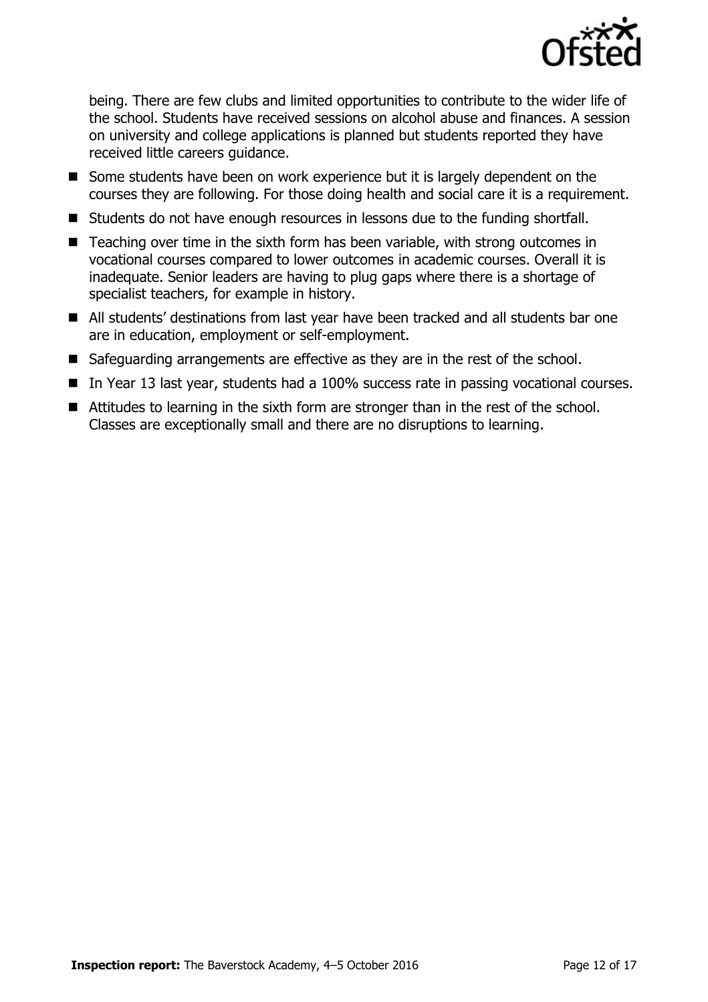

being. There are few clubs and limited opportunities to contribute to the wider life of the school. Students have received sessions on alcohol abuse and finances. A session on university and college applications is planned but students reported they have received little careers guidance.

- Some students have been on work experience but it is largely dependent on the courses they are following. For those doing health and social care it is a requirement.
- Students do not have enough resources in lessons due to the funding shortfall.
- $\blacksquare$  Teaching over time in the sixth form has been variable, with strong outcomes in vocational courses compared to lower outcomes in academic courses. Overall it is inadequate. Senior leaders are having to plug gaps where there is a shortage of specialist teachers, for example in history.
- All students' destinations from last year have been tracked and all students bar one are in education, employment or self-employment.
- Safeguarding arrangements are effective as they are in the rest of the school.
- In Year 13 last year, students had a 100% success rate in passing vocational courses.
- Attitudes to learning in the sixth form are stronger than in the rest of the school. Classes are exceptionally small and there are no disruptions to learning.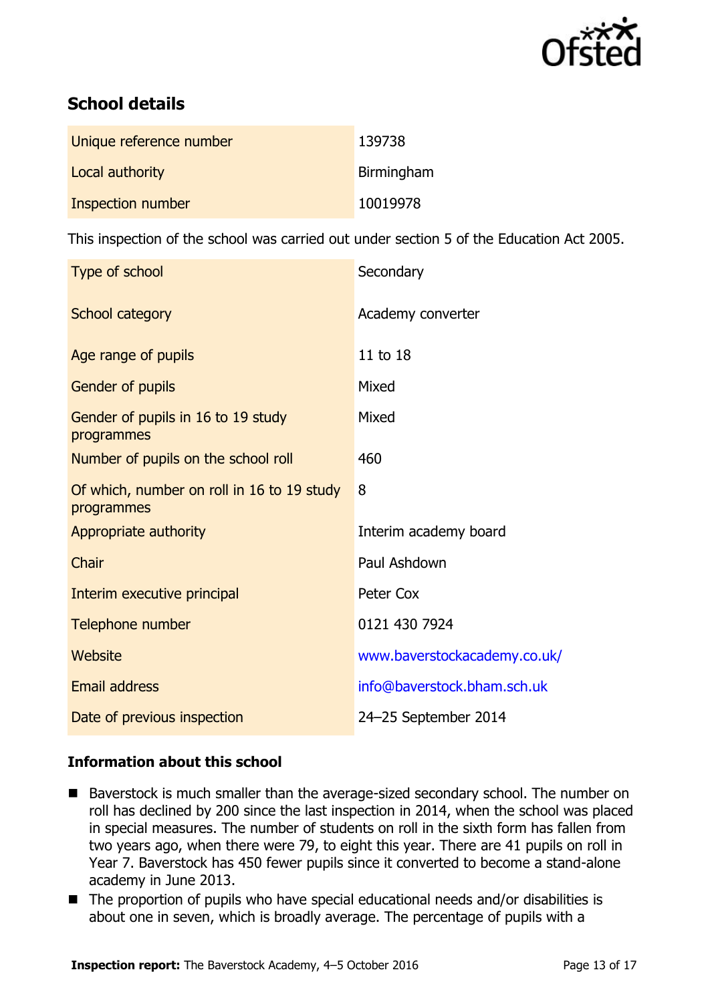

# **School details**

| Unique reference number | 139738     |
|-------------------------|------------|
| Local authority         | Birmingham |
| Inspection number       | 10019978   |

This inspection of the school was carried out under section 5 of the Education Act 2005.

| Type of school                                           | Secondary                    |
|----------------------------------------------------------|------------------------------|
| School category                                          | Academy converter            |
| Age range of pupils                                      | 11 to 18                     |
| <b>Gender of pupils</b>                                  | Mixed                        |
| Gender of pupils in 16 to 19 study<br>programmes         | Mixed                        |
| Number of pupils on the school roll                      | 460                          |
| Of which, number on roll in 16 to 19 study<br>programmes | 8                            |
| Appropriate authority                                    | Interim academy board        |
| Chair                                                    | Paul Ashdown                 |
| Interim executive principal                              | Peter Cox                    |
| Telephone number                                         | 0121 430 7924                |
| Website                                                  | www.baverstockacademy.co.uk/ |
| <b>Email address</b>                                     | info@baverstock.bham.sch.uk  |
| Date of previous inspection                              | 24-25 September 2014         |

### **Information about this school**

- Baverstock is much smaller than the average-sized secondary school. The number on roll has declined by 200 since the last inspection in 2014, when the school was placed in special measures. The number of students on roll in the sixth form has fallen from two years ago, when there were 79, to eight this year. There are 41 pupils on roll in Year 7. Baverstock has 450 fewer pupils since it converted to become a stand-alone academy in June 2013.
- The proportion of pupils who have special educational needs and/or disabilities is about one in seven, which is broadly average. The percentage of pupils with a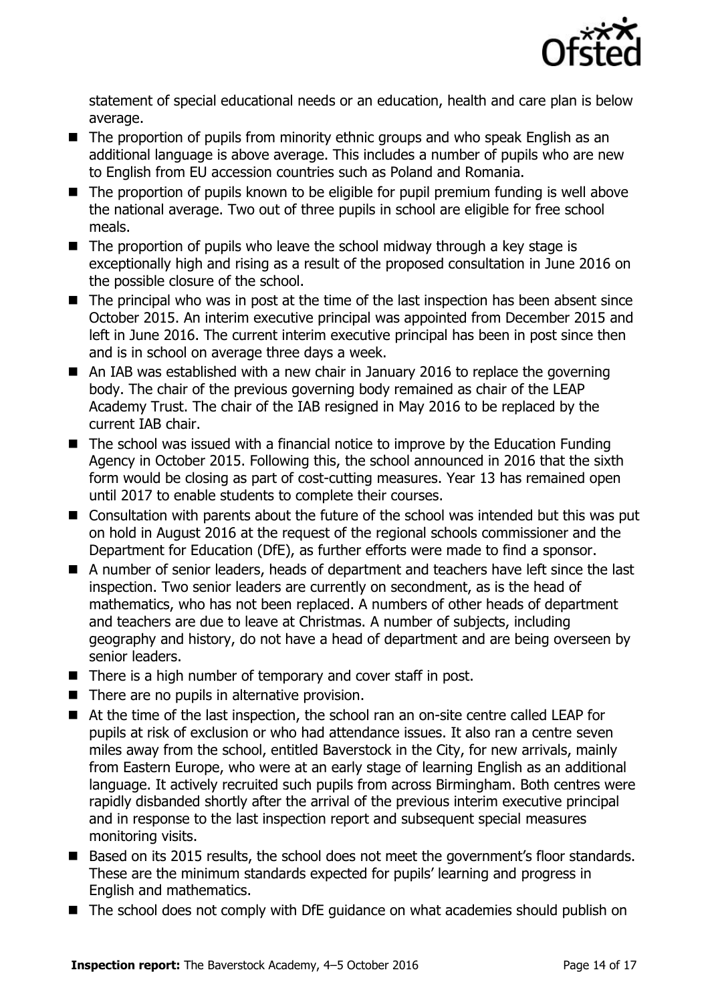

statement of special educational needs or an education, health and care plan is below average.

- The proportion of pupils from minority ethnic groups and who speak English as an additional language is above average. This includes a number of pupils who are new to English from EU accession countries such as Poland and Romania.
- The proportion of pupils known to be eligible for pupil premium funding is well above the national average. Two out of three pupils in school are eligible for free school meals.
- The proportion of pupils who leave the school midway through a key stage is exceptionally high and rising as a result of the proposed consultation in June 2016 on the possible closure of the school.
- The principal who was in post at the time of the last inspection has been absent since October 2015. An interim executive principal was appointed from December 2015 and left in June 2016. The current interim executive principal has been in post since then and is in school on average three days a week.
- An IAB was established with a new chair in January 2016 to replace the governing body. The chair of the previous governing body remained as chair of the LEAP Academy Trust. The chair of the IAB resigned in May 2016 to be replaced by the current IAB chair.
- The school was issued with a financial notice to improve by the Education Funding Agency in October 2015. Following this, the school announced in 2016 that the sixth form would be closing as part of cost-cutting measures. Year 13 has remained open until 2017 to enable students to complete their courses.
- Consultation with parents about the future of the school was intended but this was put on hold in August 2016 at the request of the regional schools commissioner and the Department for Education (DfE), as further efforts were made to find a sponsor.
- A number of senior leaders, heads of department and teachers have left since the last inspection. Two senior leaders are currently on secondment, as is the head of mathematics, who has not been replaced. A numbers of other heads of department and teachers are due to leave at Christmas. A number of subjects, including geography and history, do not have a head of department and are being overseen by senior leaders.
- $\blacksquare$  There is a high number of temporary and cover staff in post.
- $\blacksquare$  There are no pupils in alternative provision.
- At the time of the last inspection, the school ran an on-site centre called LEAP for pupils at risk of exclusion or who had attendance issues. It also ran a centre seven miles away from the school, entitled Baverstock in the City, for new arrivals, mainly from Eastern Europe, who were at an early stage of learning English as an additional language. It actively recruited such pupils from across Birmingham. Both centres were rapidly disbanded shortly after the arrival of the previous interim executive principal and in response to the last inspection report and subsequent special measures monitoring visits.
- Based on its 2015 results, the school does not meet the government's floor standards. These are the minimum standards expected for pupils' learning and progress in English and mathematics.
- The school does not comply with DfE guidance on what academies should publish on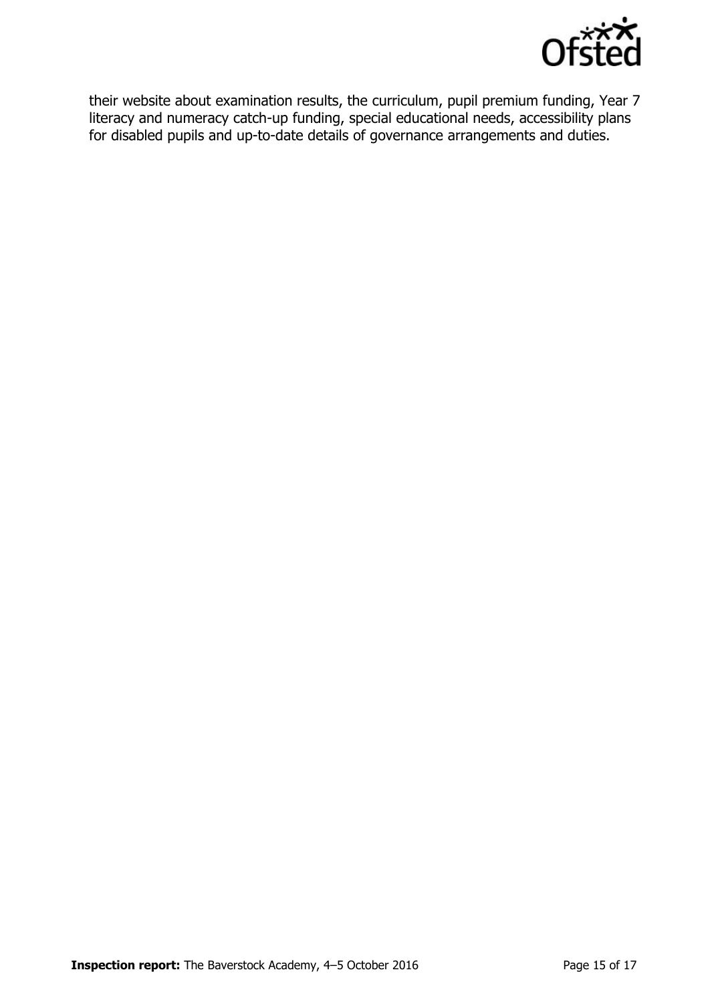

their website about examination results, the curriculum, pupil premium funding, Year 7 literacy and numeracy catch-up funding, special educational needs, accessibility plans for disabled pupils and up-to-date details of governance arrangements and duties.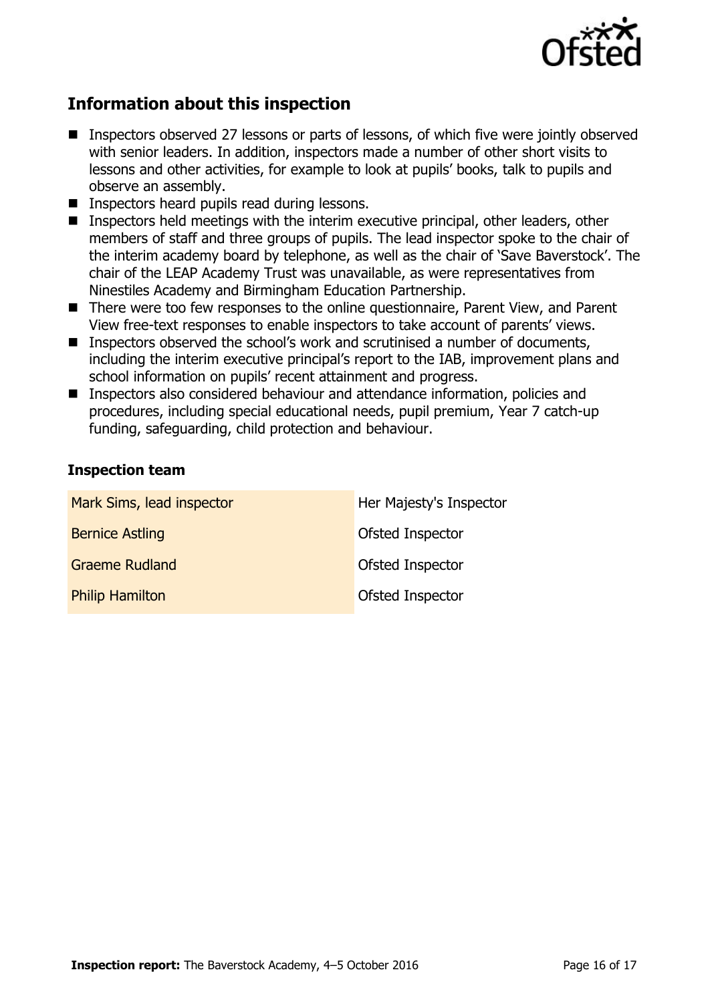

## **Information about this inspection**

- Inspectors observed 27 lessons or parts of lessons, of which five were jointly observed with senior leaders. In addition, inspectors made a number of other short visits to lessons and other activities, for example to look at pupils' books, talk to pupils and observe an assembly.
- **Inspectors heard pupils read during lessons.**
- Inspectors held meetings with the interim executive principal, other leaders, other members of staff and three groups of pupils. The lead inspector spoke to the chair of the interim academy board by telephone, as well as the chair of 'Save Baverstock'. The chair of the LEAP Academy Trust was unavailable, as were representatives from Ninestiles Academy and Birmingham Education Partnership.
- There were too few responses to the online questionnaire, Parent View, and Parent View free-text responses to enable inspectors to take account of parents' views.
- Inspectors observed the school's work and scrutinised a number of documents, including the interim executive principal's report to the IAB, improvement plans and school information on pupils' recent attainment and progress.
- Inspectors also considered behaviour and attendance information, policies and procedures, including special educational needs, pupil premium, Year 7 catch-up funding, safeguarding, child protection and behaviour.

### **Inspection team**

| Mark Sims, lead inspector | Her Majesty's Inspector |
|---------------------------|-------------------------|
| <b>Bernice Astling</b>    | Ofsted Inspector        |
| <b>Graeme Rudland</b>     | Ofsted Inspector        |
| <b>Philip Hamilton</b>    | Ofsted Inspector        |